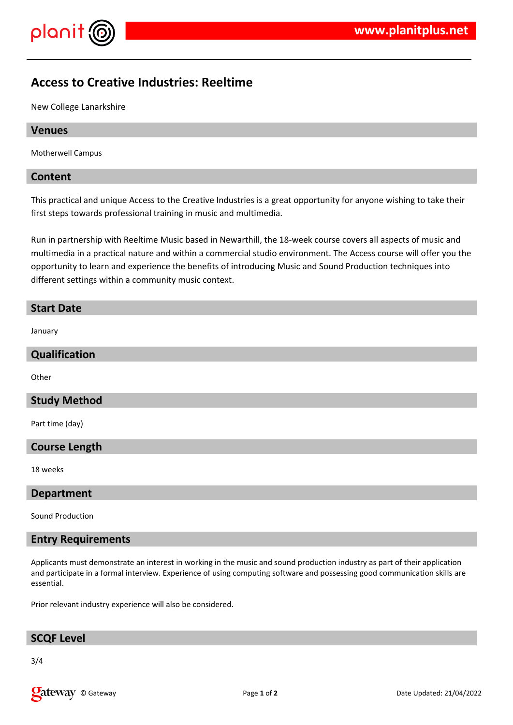



# **Access to Creative Industries: Reeltime**

New College Lanarkshire

### **Venues**

Motherwell Campus

### **Content**

This practical and unique Access to the Creative Industries is a great opportunity for anyone wishing to take their first steps towards professional training in music and multimedia.

Run in partnership with Reeltime Music based in Newarthill, the 18-week course covers all aspects of music and multimedia in a practical nature and within a commercial studio environment. The Access course will offer you the opportunity to learn and experience the benefits of introducing Music and Sound Production techniques into different settings within a community music context.

#### **Start Date**

January

# **Qualification**

**Other** 

# **Study Method**

Part time (day)

#### **Course Length**

18 weeks

#### **Department**

Sound Production

# **Entry Requirements**

Applicants must demonstrate an interest in working in the music and sound production industry as part of their application and participate in a formal interview. Experience of using computing software and possessing good communication skills are essential.

Prior relevant industry experience will also be considered.

# **SCQF Level**

3/4